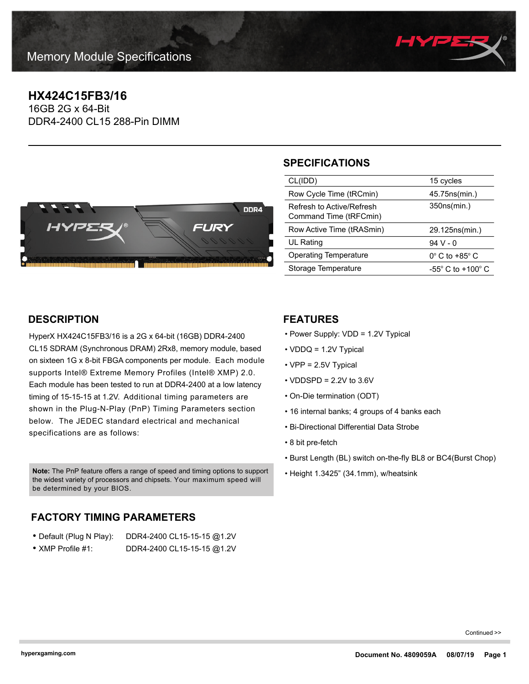

## **HX424C15FB3/16**

16GB 2G x 64-Bit DDR4-2400 CL15 288-Pin DIMM



## **SPECIFICATIONS**

| CL(IDD)                                             | 15 cycles                           |
|-----------------------------------------------------|-------------------------------------|
| Row Cycle Time (tRCmin)                             | 45.75 ns (min.)                     |
| Refresh to Active/Refresh<br>Command Time (tRFCmin) | 350ns(min.)                         |
| Row Active Time (tRASmin)                           | 29.125ns(min.)                      |
| UL Rating                                           | $94V - 0$                           |
| <b>Operating Temperature</b>                        | $0^\circ$ C to +85 $^\circ$ C       |
| Storage Temperature                                 | $-55^{\circ}$ C to $+100^{\circ}$ C |
|                                                     |                                     |

## **DESCRIPTION**

HyperX HX424C15FB3/16 is a 2G x 64-bit (16GB) DDR4-2400 CL15 SDRAM (Synchronous DRAM) 2Rx8, memory module, based on sixteen 1G x 8-bit FBGA components per module. Each module supports Intel® Extreme Memory Profiles (Intel® XMP) 2.0. Each module has been tested to run at DDR4-2400 at a low latency timing of 15-15-15 at 1.2V. Additional timing parameters are shown in the Plug-N-Play (PnP) Timing Parameters section below. The JEDEC standard electrical and mechanical specifications are as follows:

Note: The PnP feature offers a range of speed and timing options to support <br>Fleight 1.3425" (34.1mm), w/heatsink the widest variety of processors and chipsets. Your maximum speed will be determined by your BIOS.

# **FACTORY TIMING PARAMETERS**

| • Default (Plug N Play):  | DDR4-2400 CL15-15-15 @1.2V |
|---------------------------|----------------------------|
| $\bullet$ XMP Profile #1: | DDR4-2400 CL15-15-15 @1.2V |

### **FEATURES**

- Power Supply: VDD = 1.2V Typical
- VDDQ = 1.2V Typical
- VPP = 2.5V Typical
- $\cdot$  VDDSPD = 2.2V to 3.6V
- On-Die termination (ODT)
- 16 internal banks; 4 groups of 4 banks each
- Bi-Directional Differential Data Strobe
- 8 bit pre-fetch
- Burst Length (BL) switch on-the-fly BL8 or BC4(Burst Chop)
- 

Continued >>